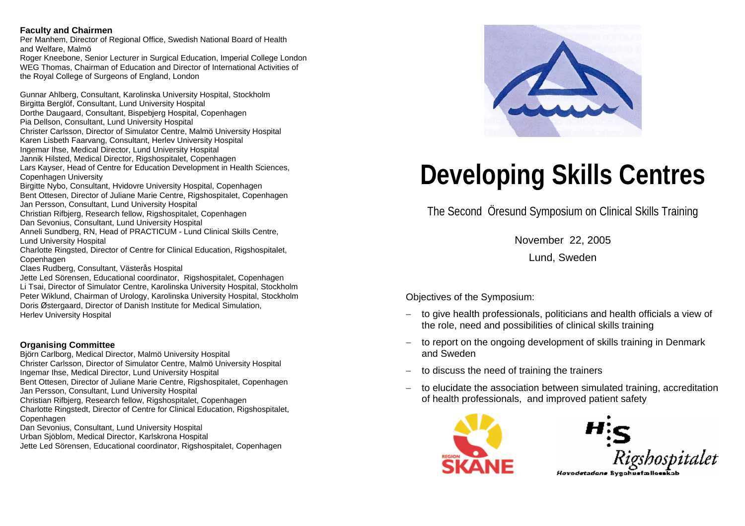#### **Faculty and Chairmen**

Per Manhem, Director of Regional Office, Swedish National Board of Health and Welfare, Malmö

Roger Kneebone, Senior Lecturer in Surgical Education, Imperial College London WEG Thomas, Chairman of Education and Director of International Activities of the Royal College of Surgeons of England, London

Gunnar Ahlberg, Consultant, Karolinska University Hospital, Stockholm Birgitta Berglöf, Consultant, Lund University Hospital Dorthe Daugaard, Consultant, Bispebjerg Hospital, Copenhagen Pia Dellson, Consultant, Lund University Hospital Christer Carlsson, Director of Simulator Centre, Malmö University Hospital Karen Lisbeth Faarvang, Consultant, Herlev University Hospital Ingemar Ihse, Medical Director, Lund University Hospital Jannik Hilsted, Medical Director, Rigshospitalet, Copenhagen Lars Kayser, Head of Centre for Education Development in Health Sciences, Copenhagen University Birgitte Nybo, Consultant, Hvidovre University Hospital, Copenhagen Bent Ottesen, Director of Juliane Marie Centre, Rigshospitalet, Copenhagen Jan Persson, Consultant, Lund University Hospital Christian Rifbjerg, Research fello w, Rigshospitalet, Copenhagen

Dan Sevonius, Consultant, Lund University Hospital

Anneli Sundberg, RN, Head of PRACTICUM - Lund Clinical Skills Centre, Lund University Hospital

Charlotte Ringsted, Director of Centre for Clinical Education, Rigshospitalet, Copenhagen

Claes Rudberg, Consultant, Västerås Hospital

Jette Led Sörensen, Educational coordinator, Rigshospitalet, Copenhagen Li Tsai, Director of Simulator Centre, Karolinska University Hospital, Stockholm Peter Wiklund, Chairman of Urology, Karolinska University Hospital, Stockholm Doris Østergaard, Director of Danish Institute for Medical Simulation, Herlev University Hospital

### **Organising Committee**

Björn Carlborg, Medical Director, Malmö University Hospital Christer Carlsson, Director of Simulator Centre, Malmö University Hospital Ingemar Ihse, Medical Director, Lund University Hospital Bent Ottesen, Director of Juliane Marie Centre, Rigshospitalet, Copenhagen Jan Persson, Consultant, Lund University Hospital Christian Rifbjerg, Research fello w, Rigshospitalet, Copenhagen Charlotte Ringstedt, Director of Centre for Clinical Education, Rigshospitalet, **Copenhagen** Dan Sevonius, Consultant, Lund University Hospital Urban Sjöblom, Medical Director, Karlskrona Hospital

Jette Led Sörensen, Educational coordinator, Rigshospitalet, Copenhagen



# **Developing Skills Centres**

The Second Öresund Symposium on Clinical Skills Training

November 22, 2005

Lund, Sweden

Objectives of the Sympo sium:

- − to give health professionals, politicians and healt h officials a view of the role, need and possibilities of clinical skills training
- −– to report on the ongoing development of skills training in Denmark and Sweden
- −to discuss the need of training the trainers
- to elucidate the association between simulated training, accreditation of health professionals, and improve d patient saf ety